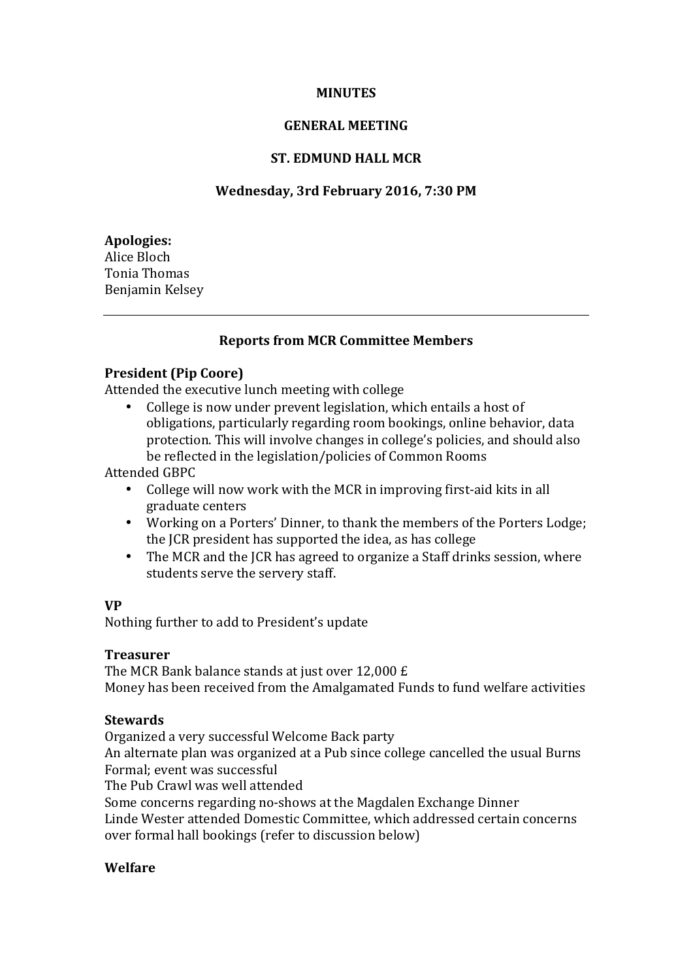# **MINUTES**

#### **GENERAL MEETING**

## **ST. EDMUND HALL MCR**

## **Wednesday, 3rd February 2016, 7:30 PM**

**Apologies:** Alice Bloch Tonia Thomas Benjamin Kelsey

## **Reports from MCR Committee Members**

#### **President (Pip Coore)**

Attended the executive lunch meeting with college

College is now under prevent legislation, which entails a host of obligations, particularly regarding room bookings, online behavior, data protection. This will involve changes in college's policies, and should also be reflected in the legislation/policies of Common Rooms

Attended GBPC

- College will now work with the MCR in improving first-aid kits in all graduate centers
- Working on a Porters' Dinner, to thank the members of the Porters Lodge; the JCR president has supported the idea, as has college
- The MCR and the ICR has agreed to organize a Staff drinks session, where students serve the servery staff.

#### **VP**

Nothing further to add to President's update

#### **Treasurer**

The MCR Bank balance stands at just over  $12,000 \text{ f}$ Money has been received from the Amalgamated Funds to fund welfare activities

#### **Stewards**

Organized a very successful Welcome Back party

An alternate plan was organized at a Pub since college cancelled the usual Burns Formal; event was successful

The Pub Crawl was well attended

Some concerns regarding no-shows at the Magdalen Exchange Dinner

Linde Wester attended Domestic Committee, which addressed certain concerns over formal hall bookings (refer to discussion below)

## **Welfare**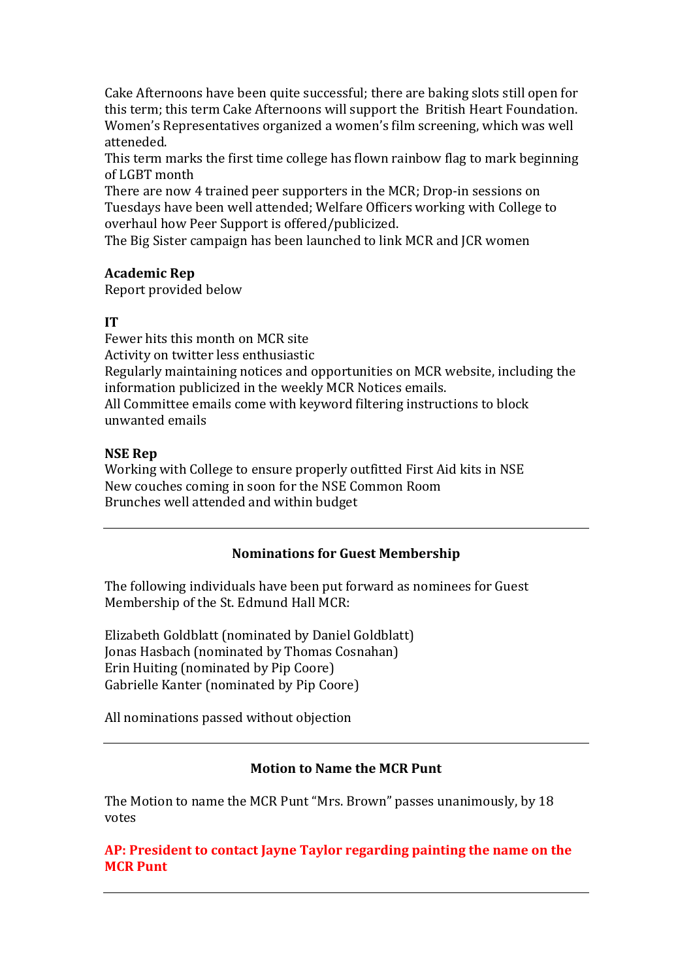Cake Afternoons have been quite successful; there are baking slots still open for this term; this term Cake Afternoons will support the British Heart Foundation. Women's Representatives organized a women's film screening, which was well atteneded.

This term marks the first time college has flown rainbow flag to mark beginning of LGBT month

There are now 4 trained peer supporters in the MCR; Drop-in sessions on Tuesdays have been well attended; Welfare Officers working with College to overhaul how Peer Support is offered/publicized.

The Big Sister campaign has been launched to link MCR and JCR women

# **Academic Rep**

Report provided below

## **IT**

Fewer hits this month on MCR site Activity on twitter less enthusiastic Regularly maintaining notices and opportunities on MCR website, including the information publicized in the weekly MCR Notices emails. All Committee emails come with keyword filtering instructions to block unwanted emails

## **NSE** Rep

Working with College to ensure properly outfitted First Aid kits in NSE New couches coming in soon for the NSE Common Room Brunches well attended and within budget

# **Nominations for Guest Membership**

The following individuals have been put forward as nominees for Guest Membership of the St. Edmund Hall MCR:

Elizabeth Goldblatt (nominated by Daniel Goldblatt) Jonas Hasbach (nominated by Thomas Cosnahan) Erin Huiting (nominated by Pip Coore) Gabrielle Kanter (nominated by Pip Coore)

All nominations passed without objection

# **Motion to Name the MCR Punt**

The Motion to name the MCR Punt "Mrs. Brown" passes unanimously, by 18 votes

# AP: President to contact Jayne Taylor regarding painting the name on the **MCR Punt**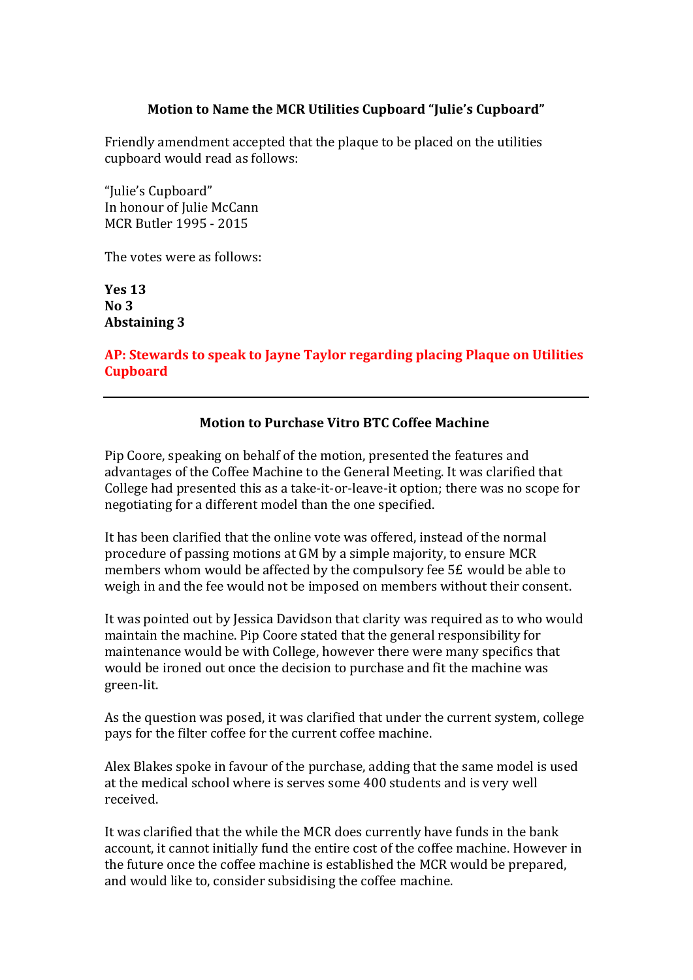# **Motion to Name the MCR Utilities Cupboard "Julie's Cupboard"**

Friendly amendment accepted that the plaque to be placed on the utilities cupboard would read as follows:

"Julie's Cupboard" In honour of Julie McCann MCR Butler 1995 - 2015

The votes were as follows:

**Yes 13 No 3 Abstaining 3**

AP: Stewards to speak to Jayne Taylor regarding placing Plaque on Utilities **Cupboard**

## **Motion to Purchase Vitro BTC Coffee Machine**

Pip Coore, speaking on behalf of the motion, presented the features and advantages of the Coffee Machine to the General Meeting. It was clarified that College had presented this as a take-it-or-leave-it option; there was no scope for negotiating for a different model than the one specified.

It has been clarified that the online vote was offered, instead of the normal procedure of passing motions at GM by a simple majority, to ensure MCR members whom would be affected by the compulsory fee  $5E$  would be able to weigh in and the fee would not be imposed on members without their consent.

It was pointed out by Jessica Davidson that clarity was required as to who would maintain the machine. Pip Coore stated that the general responsibility for maintenance would be with College, however there were many specifics that would be ironed out once the decision to purchase and fit the machine was green-lit.

As the question was posed, it was clarified that under the current system, college pays for the filter coffee for the current coffee machine.

Alex Blakes spoke in favour of the purchase, adding that the same model is used at the medical school where is serves some 400 students and is very well received.

It was clarified that the while the MCR does currently have funds in the bank account, it cannot initially fund the entire cost of the coffee machine. However in the future once the coffee machine is established the MCR would be prepared, and would like to, consider subsidising the coffee machine.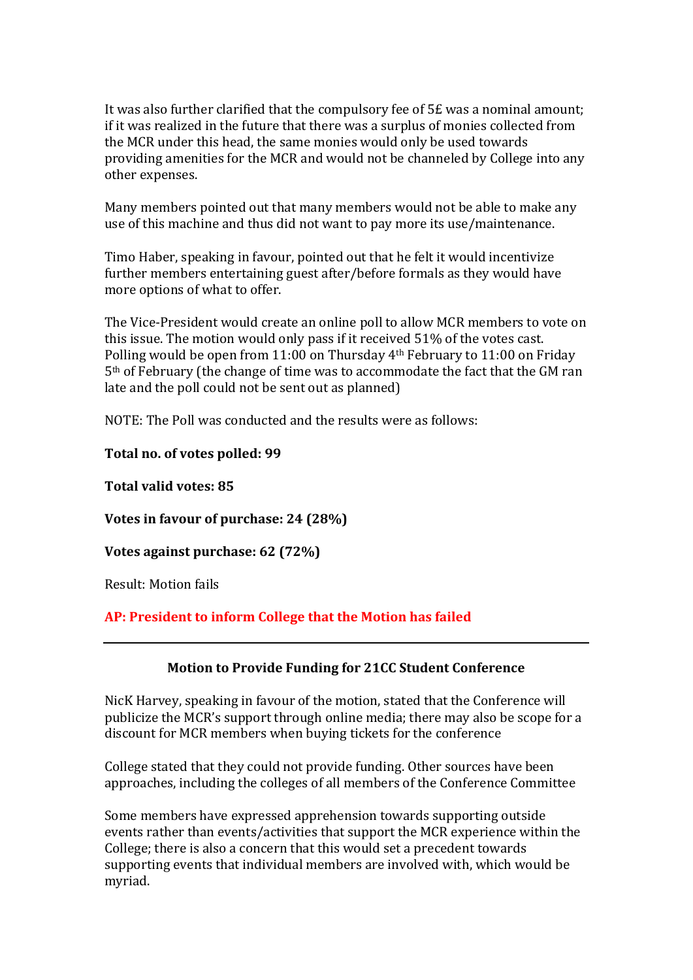It was also further clarified that the compulsory fee of  $5E$  was a nominal amount; if it was realized in the future that there was a surplus of monies collected from the MCR under this head, the same monies would only be used towards providing amenities for the MCR and would not be channeled by College into any other expenses.

Many members pointed out that many members would not be able to make any use of this machine and thus did not want to pay more its use/maintenance.

Timo Haber, speaking in favour, pointed out that he felt it would incentivize further members entertaining guest after/before formals as they would have more options of what to offer.

The Vice-President would create an online poll to allow MCR members to vote on this issue. The motion would only pass if it received 51% of the votes cast. Polling would be open from 11:00 on Thursday  $4<sup>th</sup>$  February to 11:00 on Friday  $5<sup>th</sup>$  of February (the change of time was to accommodate the fact that the GM ran late and the poll could not be sent out as planned)

NOTE: The Poll was conducted and the results were as follows:

## **Total no. of votes polled: 99**

**Total valid votes: 85** 

**Votes in favour of purchase: 24 (28%)** 

**Votes against purchase: 62 (72%)** 

Result: Motion fails

AP: President to inform College that the Motion has failed

# **Motion to Provide Funding for 21CC Student Conference**

NicK Harvey, speaking in favour of the motion, stated that the Conference will publicize the MCR's support through online media; there may also be scope for a discount for MCR members when buying tickets for the conference

College stated that they could not provide funding. Other sources have been approaches, including the colleges of all members of the Conference Committee

Some members have expressed apprehension towards supporting outside. events rather than events/activities that support the MCR experience within the College; there is also a concern that this would set a precedent towards supporting events that individual members are involved with, which would be myriad.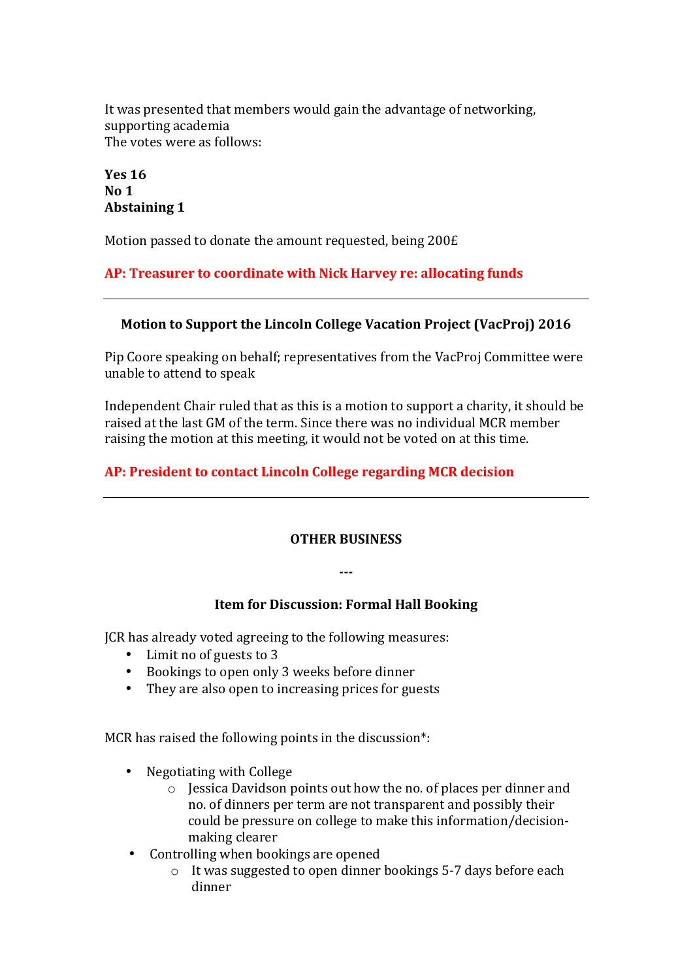It was presented that members would gain the advantage of networking, supporting academia The votes were as follows:

**Yes 16 No 1 Abstaining 1**

Motion passed to donate the amount requested, being 200£

AP: Treasurer to coordinate with Nick Harvey re: allocating funds

# **Motion to Support the Lincoln College Vacation Project (VacProj) 2016**

Pip Coore speaking on behalf; representatives from the VacProj Committee were unable to attend to speak

Independent Chair ruled that as this is a motion to support a charity, it should be raised at the last GM of the term. Since there was no individual MCR member raising the motion at this meeting, it would not be voted on at this time.

# **AP: President to contact Lincoln College regarding MCR decision**

#### **OTHER BUSINESS**

**---**

#### **Item for Discussion: Formal Hall Booking**

JCR has already voted agreeing to the following measures:

- Limit no of guests to 3
- Bookings to open only 3 weeks before dinner
- They are also open to increasing prices for guests

MCR has raised the following points in the discussion\*:

- Negotiating with College
	- $\circ$  Iessica Davidson points out how the no. of places per dinner and no. of dinners per term are not transparent and possibly their could be pressure on college to make this information/decisionmaking clearer
- Controlling when bookings are opened
	- $\circ$  It was suggested to open dinner bookings 5-7 days before each dinner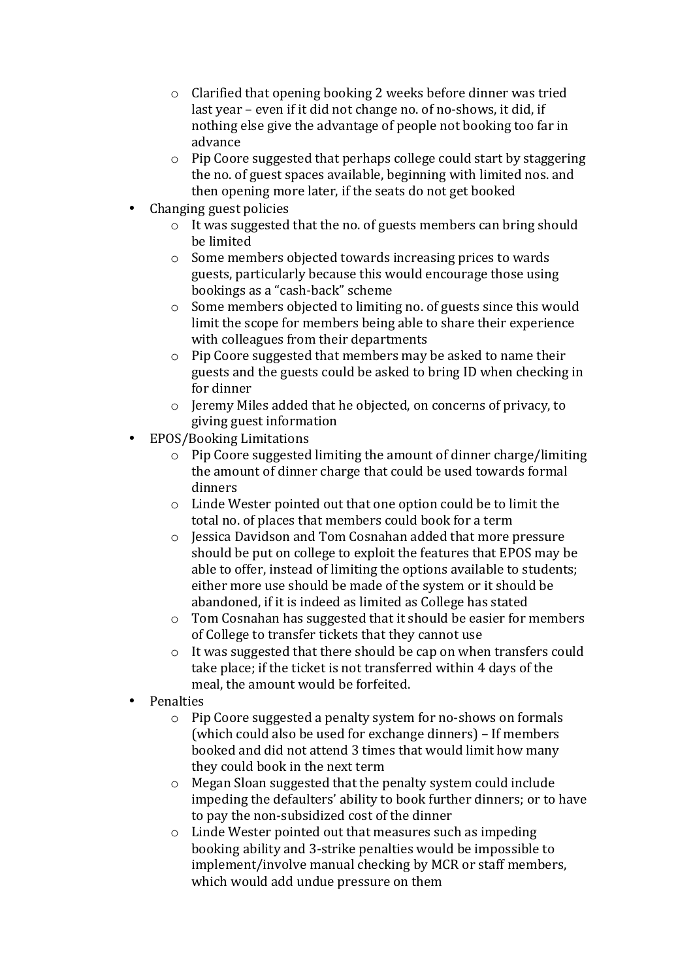- $\circ$  Clarified that opening booking 2 weeks before dinner was tried last year – even if it did not change no. of no-shows, it did, if nothing else give the advantage of people not booking too far in advance
- $\circ$  Pip Coore suggested that perhaps college could start by staggering the no. of guest spaces available, beginning with limited nos. and then opening more later, if the seats do not get booked
- Changing guest policies
	- $\circ$  It was suggested that the no. of guests members can bring should be limited
	- $\circ$  Some members objected towards increasing prices to wards guests, particularly because this would encourage those using bookings as a "cash-back" scheme
	- $\circ$  Some members objected to limiting no. of guests since this would limit the scope for members being able to share their experience with colleagues from their departments
	- $\circ$  Pip Coore suggested that members may be asked to name their guests and the guests could be asked to bring ID when checking in for dinner
	- $\circ$  Jeremy Miles added that he objected, on concerns of privacy, to giving guest information
- EPOS/Booking Limitations
	- $\circ$  Pip Coore suggested limiting the amount of dinner charge/limiting the amount of dinner charge that could be used towards formal dinners
	- $\circ$  Linde Wester pointed out that one option could be to limit the total no. of places that members could book for a term
	- o Jessica Davidson and Tom Cosnahan added that more pressure should be put on college to exploit the features that EPOS may be able to offer, instead of limiting the options available to students; either more use should be made of the system or it should be abandoned, if it is indeed as limited as College has stated
	- $\circ$  Tom Cosnahan has suggested that it should be easier for members of College to transfer tickets that they cannot use
	- $\circ$  It was suggested that there should be cap on when transfers could take place; if the ticket is not transferred within 4 days of the meal, the amount would be forfeited.
- **Penalties** 
	- $\circ$  Pip Coore suggested a penalty system for no-shows on formals (which could also be used for exchange dinners) – If members booked and did not attend 3 times that would limit how many they could book in the next term
	- $\circ$  Megan Sloan suggested that the penalty system could include impeding the defaulters' ability to book further dinners; or to have to pay the non-subsidized cost of the dinner
	- $\circ$  Linde Wester pointed out that measures such as impeding booking ability and 3-strike penalties would be impossible to implement/involve manual checking by MCR or staff members, which would add undue pressure on them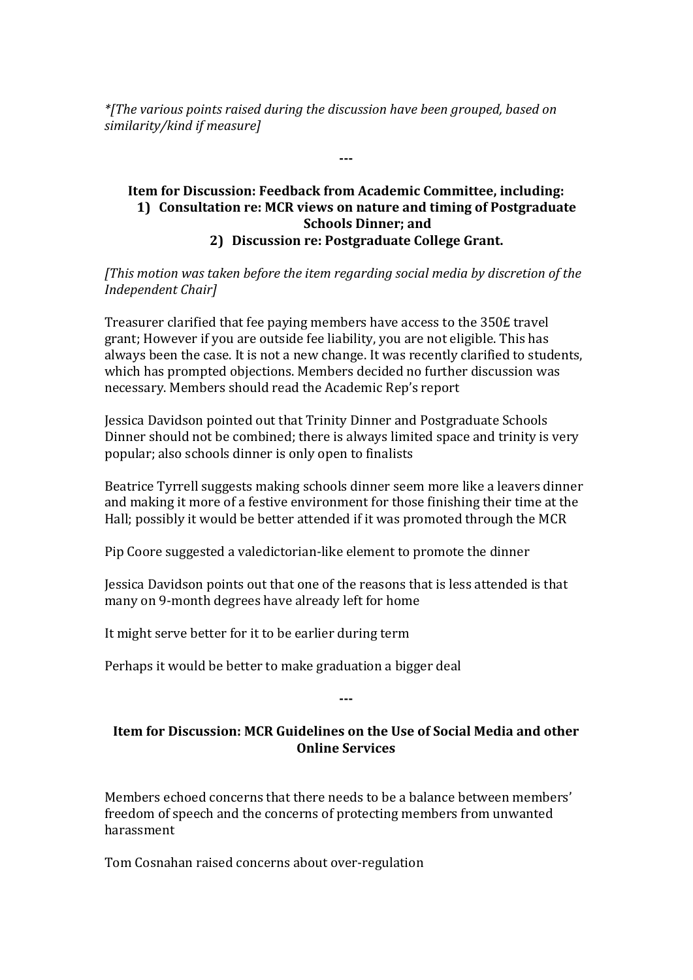*\**[The various points raised during the discussion have been grouped, based on *similarity/kind if measure]*

# **Item for Discussion: Feedback from Academic Committee, including: 1)** Consultation re: MCR views on nature and timing of Postgraduate **Schools Dinner; and 2) Discussion re: Postgraduate College Grant.**

**---**

*[This motion was taken before the item regarding social media by discretion of the Independent Chair]*

Treasurer clarified that fee paying members have access to the 350£ travel grant; However if you are outside fee liability, you are not eligible. This has always been the case. It is not a new change. It was recently clarified to students, which has prompted objections. Members decided no further discussion was necessary. Members should read the Academic Rep's report

Jessica Davidson pointed out that Trinity Dinner and Postgraduate Schools Dinner should not be combined; there is always limited space and trinity is very popular; also schools dinner is only open to finalists

Beatrice Tyrrell suggests making schools dinner seem more like a leavers dinner and making it more of a festive environment for those finishing their time at the Hall; possibly it would be better attended if it was promoted through the MCR

Pip Coore suggested a valedictorian-like element to promote the dinner

Jessica Davidson points out that one of the reasons that is less attended is that many on 9-month degrees have already left for home

It might serve better for it to be earlier during term

Perhaps it would be better to make graduation a bigger deal

#### **---**

# **Item for Discussion: MCR Guidelines on the Use of Social Media and other Online Services**

Members echoed concerns that there needs to be a balance between members' freedom of speech and the concerns of protecting members from unwanted harassment

Tom Cosnahan raised concerns about over-regulation